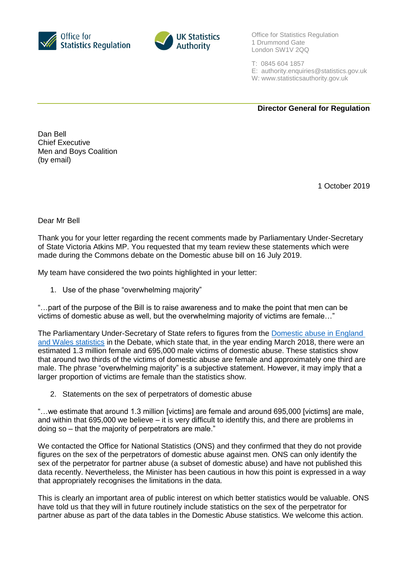



Office for Statistics Regulation 1 Drummond Gate London SW1V 2QQ

- T: 0845 604 1857
- E: [authority.enquiries@statistics.gov.uk](mailto:authority.enquiries@statistics.gov.uk)
- W: www.statisticsauthority.gov.uk

**Director General for Regulation**

Dan Bell Chief Executive Men and Boys Coalition (by email)

1 October 2019

Dear Mr Bell

Thank you for your letter regarding the recent comments made by Parliamentary Under-Secretary of State Victoria Atkins MP. You requested that my team review these statements which were made during the Commons debate on the Domestic abuse bill on 16 July 2019.

My team have considered the two points highlighted in your letter:

1. Use of the phase "overwhelming majority"

"…part of the purpose of the Bill is to raise awareness and to make the point that men can be victims of domestic abuse as well, but the overwhelming majority of victims are female…"

The Parliamentary Under-Secretary of State refers to figures from the Domestic abuse in England [and Wales statistics](https://www.ons.gov.uk/peoplepopulationandcommunity/crimeandjustice/bulletins/domesticabuseinenglandandwales/yearendingmarch2018) in the Debate, which state that, in the year ending March 2018, there were an estimated 1.3 million female and 695,000 male victims of domestic abuse. These statistics show that around two thirds of the victims of domestic abuse are female and approximately one third are male. The phrase "overwhelming majority" is a subjective statement. However, it may imply that a larger proportion of victims are female than the statistics show.

2. Statements on the sex of perpetrators of domestic abuse

"…we estimate that around 1.3 million [victims] are female and around 695,000 [victims] are male, and within that 695,000 we believe – it is very difficult to identify this, and there are problems in doing so – that the majority of perpetrators are male."

We contacted the Office for National Statistics (ONS) and they confirmed that they do not provide figures on the sex of the perpetrators of domestic abuse against men. ONS can only identify the sex of the perpetrator for partner abuse (a subset of domestic abuse) and have not published this data recently. Nevertheless, the Minister has been cautious in how this point is expressed in a way that appropriately recognises the limitations in the data.

This is clearly an important area of public interest on which better statistics would be valuable. ONS have told us that they will in future routinely include statistics on the sex of the perpetrator for partner abuse as part of the data tables in the Domestic Abuse statistics. We welcome this action.